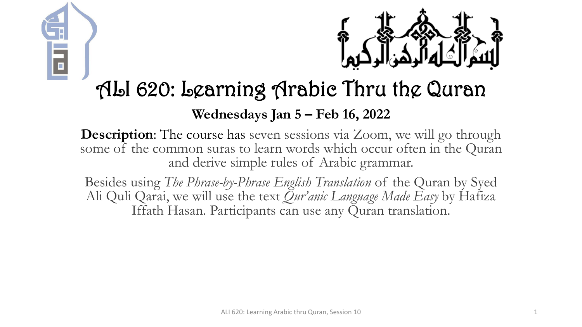



# ALI 620: Learning Arabic Thru the Quran

#### **Wednesdays Jan 5 – Feb 16, 2022**

**Description:** The course has seven sessions via Zoom, we will go through some of the common suras to learn words which occur often in the Quran and derive simple rules of Arabic grammar.

Besides using *The Phrase-by-Phrase English Translation* of the Quran by Syed Ali Quli Qarai, we will use the text *Qur'anic Language Made Easy* by Hafiza Iffath Hasan. Participants can use any Quran translation.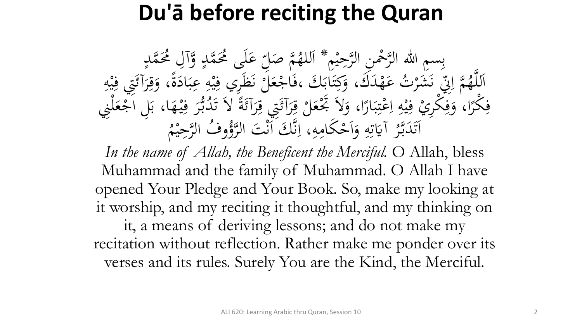# **Du'ā before reciting the Quran**

بِسِمِ اللهِ الرَّحْمِنِ الرَّحِيْمِ \* اَللهُمَّ صَلِّ<br>مَّذَبَهُ وَصَلَّى الرَّحِيْمِ \* اَللهُمَّ صَل م<br>م ه<br>يه ب<br>ه **€** للهُمَّ صَلِّ عَلَى مُحَمَّدٍ وَّآلِ مُحَمَّدٍ<br>مدين من الله  $\frac{1}{2}$ ا  $\overline{a}$  $\overline{a}$ لم<br>ح ى<br>. َ َك مد ه ت ع **ک** رت<br>.。 شر َ َ بر<br>فر س<br>رقب<br>رقب مَّة إِلَيْ<br>مَ إِلَيْ  $\overline{\mathcal{L}}$ ا ہے<br>، اَللَّهُمَّ إِنِّي نَشَرْتُ عَهْدَكَ، وَكِتَابَكَ ،فَاجْعَلَّ نَظَرِي فِيْهِ عِبَادَةً، وَقِرَآئَتِي فِيْهِ<br>حَمَّا رَبِّي مَشَرْتُ عَهْدَكَ، وَكِتَابَكَ ،فَاجْعَلَّ نَظَرِي فِيْهِ عِبَادَةً، وَقِرَآئَتِي فِيْهِ ا<br>۔  $\frac{1}{2}$ بز و<br>را ا<br>ما  $\ddot{\cdot}$ بر ِ  $\frac{1}{2}$ ه<br>به <u>،</u> بر<br>فر م ر<br>بر<br>بر <u>ة</u>  $\ddot{\circ}$ ر<br>ا <u>ة</u> َ ِ مد<br>م ه<br>بد <u>،</u> م<br>گ ر<br>گ  $\int$  $\overline{\phantom{a}}$ فِكْرًا، وَفِكْرِيْ فِيْهِ اِعْتِبَارًا، وَلاَ تَجْعَلْ قِرَآئَتِي قِرَآئَةً لاَ تَدُبُّرَ فِيْهَا، بَلِ اَجْعَلْنِي<br>مَكْرًا، وَفِكْرِيْ فِيْهِ إِعْتِبَارًا، وَلاَ تَجْعَلْ قِرَآئَتِي قِرَآئَةً لاَ تَدُبُّرَ فِيْهَا، بَلِ  $\frac{1}{2}$  $\ddot{\cdot}$ ۰.<br>ه ہ<br>ر ر<br>ا  $\ddot{\cdot}$ بر  $\ddot{.}$ :<br>\*<br>/ ى<br>م  $\frac{1}{2}$ ا ِ  $\frac{1}{2}$ ه<br>به ِ<br>ِهِ و<br>ِ ر<br>ا **ٔ فا** م ر<br>ر ِ<br>په م<br>گ ë<br>. م<br>گ ر<br>گ ت<br>ا **م**<br>. ب<br>.  $\epsilon$  $\ddot{.}$ ِ ر<br>tı ِ آيَاتِهِ وَأَحْكَامِهِ  $\mathbf{A}$ ا<br>م  $\frac{1}{2}$ ا ہ<br>ر ِ ِ<br>ٽ قة<br>م  $\ddot{\ddot{\bm{x}}}$ ر<br>ح اَتَدَبَّرُ آيَاتِهِ وَاَحْكَامِهِ، اِنَّكَ اَنْتَ ا<br>مستقط الله عليها الله عليها الله ل<br>ا تى<br>. بر<br>ن  $\ddot{\phantom{0}}$  $\ddot{\phantom{a}}$ .<br>ر ق.<br>ف  $\int$ بر<br>ز  $\overline{\mathcal{L}}$ ا م<br>. وفُ الرَّحِيْمُ  $\ddot{ }$ ه<br>ي لتَوُّرُّ<br>لروًّا

In the name of Allah, the Beneficent the Merciful. O Allah, bless Muhammad and the family of Muhammad. O Allah I have opened Your Pledge and Your Book. So, make my looking at it worship, and my reciting it thoughtful, and my thinking on it, a means of deriving lessons; and do not make my recitation without reflection. Rather make me ponder over its verses and its rules. Surely You are the Kind, the Merciful.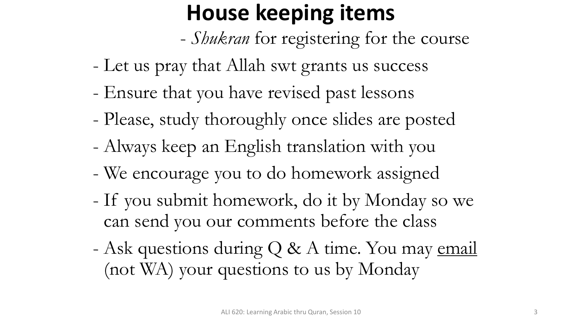# **House keeping items**

- *Shukran* for registering for the course
- Let us pray that Allah swt grants us success
- Ensure that you have revised past lessons
- Please, study thoroughly once slides are posted
- Always keep an English translation with you
- We encourage you to do homework assigned
- If you submit homework, do it by Monday so we can send you our comments before the class
- Ask questions during Q & A time. You may email (not WA) your questions to us by Monday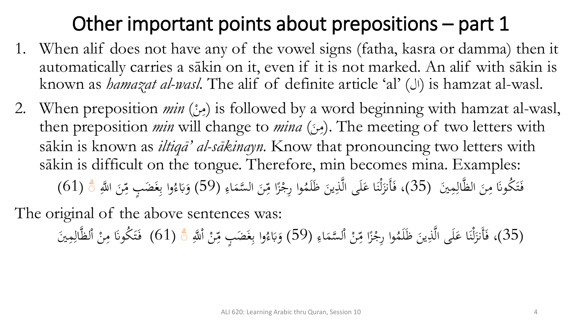# Other important points about prepositions – part 1

- 1. When alif does not have any of the vowel signs (fatha, kasra or damma) then it automatically carries a sākin on it, even if it is not marked. An alif with sākin is known as *hamazat al-wasl*. The alif of definite article 'al' ( $\cup$ ) is hamzat al-wasl.
- 2. When preposition *min* (مِنْ) is followed by a word beginning with hamzat al-wasl, .<br>ا  $\mathbf{A}$ then preposition *min* will change to *mina* (مِنْ). The meeting of two letters with  $\ddot{\phantom{0}}$  $\mathbf{A}$ sākin is known as *iltiqā' al-sākinayn.* Know that pronouncing two letters with sākin is difficult on the tongue. Therefore, min becomes mina. Examples: فَتَكُونَا مِنَ الظَّالِمِينَ (35)، فَأَنزَلْنَا عَلَى الَّذِينَ ظَلَمُوا رِجْزًا مِّنَ السَّمَاءِ ِ<br>ل  $\ddot{\phantom{0}}$  $\mathbf{A}$  $\ddot{\lambda}$ ت <u>ف</u> ِ<br>ِع  $\blacktriangle$  $\ddot{\phantom{0}}$ ِس<br>م م<br>^ وا رِجْزًا مِّ ز<br>( م ، فَأَنزَلْنَا عَلَى الَّذِينَ ظَلَمُوا رِجْزًا مِّنَ السَّمَاءِ (59) وَبَاءُوا بِغَضَبٍ مِّنَ اللَّهِ  $\ddot{\phantom{0}}$ ِّبِ **ک**  $\ddot{\phantom{0}}$ ن ڵ<br>-ل ز<br>ً  $\ddot{\phantom{0}}$ ِ<br>م  $\frac{1}{2}$ وا بِغَضَبٍ مِّ ِ<br>; ِ<br>ب </sub><br>د ء َب و ب<br>. َ  $(61)$ ँ

The original of the above sentences was:

(35)، فَأَنزَلْنَا عَلَى الَّذِينَ ظَلَمُوا رِجْزًا مِّنْ أَلسَّمَاءِ (59) وَبَاءُوا بِغَضَبٍ مِّنْ أَللَّهِ ۞ (61) فَتَكُونَا مِنْ أَلظَّالِمِينَ ِ<br>ل م ا .<br>-<br>- $\mathbf{A}$  $\ddot{\lambda}$ ت َ ِ<br>ِع  $\blacktriangle$ ل م ا م ِس<br>م  $\frac{1}{2}$ وا رِجْزًا مِّ ز<br>( **م**<br>. ، فَأَنزَلْنَا عَلَى الَّذِينَ ظَلَمُوا رِجْزًا مِّنْ اْلسَّمَاءِ (59) وَبَاءُوا بِغَضَبٍ مِّنْ اْللَّهِ  $\ddot{\phantom{0}}$ ِ **ک**  $\ddot{\lambda}$ ن ڵ<br>-ل .<br>( اً م ِ<br>م  $\frac{2}{\lambda}$ وا بِغَضَبٍ مِّ .<br>; ِ<br>ب </sub><br>د ء َب و با<br>. َ  $(61)$  ैं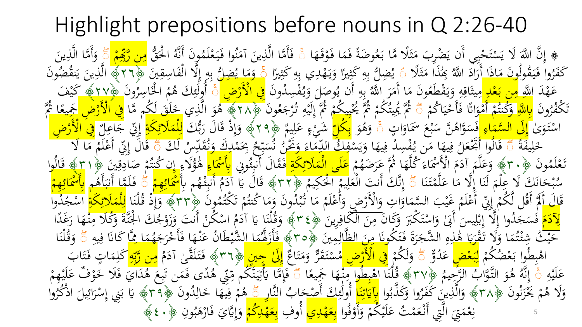Highlight prepositions before nouns in Q 2:26-40 ﴾ إِنَّ اللَّهَ لَا يَسْتَحْيِبِي أَن يَضْرِبَ مَثَلًا مَّا بَعُوضَةً فَمَا فَوْقَهَ<br>يَهْ يَهُ ثُمَّا فَوْقَهَ ه<br>, ھ<br>ج ة<br>.<br>. ه<br>و ضُرِبَ مَثَلًا مَّا بَعُ<br>بابَر برَآه هُ وَبِراهُ ب<br>. بذ<br>ثم م<br>: يَضْہ<br>ئے لیکن إِنَّ اللَّهَ لَا يَسْتَحْيِي أَن يَضْرِبَ مَثَلًا مَّا بَعُوضَةً فَمَا فَوْقَهَا ۚ فَأَمَّا الَّذِينَ آمَنُوا فَيَعْلَمُونَ أَنَّهُ اخْقُّ<br>وَيَرَوْ أَنَّهُ لَا يَسْتَحْيِي أَن يَضْرِبَ مَثَلًا مَّا بَعُوضَةً فَمَا فَوْقَ ي م<br>: ت م<br>ا نم<br>و  $\int$  لز<br>ا ا ہے<br>، فَأَمَّا الَّذِينَ آمَنُوا فَيَعْلَمُونَ أَنَّهُ اخْقُّ <mark>مِن رَّبِّهِمْ</mark><br>سَنَ مَا قَمَد الله الله الله من الله على الله على الله م  $\ddot{\cdot}$ <u>ف</u><br>. و<br>م  $\mathcal{L}$ .<br>-<br>-ِّبِ  $\frac{1}{4}$ <mark>من رَّبِّهِ</mark> ।<br>A  $\frac{1}{2}$ ً وَأَمَّا الَّذِينَ<br>ءَ :<br>-<br>-ِّب َ ِيمَٰذَاً مَثَلًا<br>وَيَمرُونَ ث  $\mathcal{A}$ ى<br>؟ كَفَرُوا فَيَقُولُونَ مَاذَا أَرَادَ اللَّهُ بِحَٰذَاَ مَثَلًا ﴾ يُضِلُّ بِهِ كَثِيرًا<br>حَقَرُوا فَيَقُولُونَ مَاذَا أَرَادَ اللَّهُ بِحَنْداَ مَثَلًا ﴾ يُصَلُّ بِهِ كَثِيرًا ر<br>. ر<br>ِ <u>م</u>  $\ddot{\hat{}}$ َ ر<br>بر -<br>...  $\mathcal{L}$  $\ddot{z}$ ِ ِ<br>ب يُضِلُّ بِهِ كَثِيرًا وَيَهْدِي بِهِ كَثِيرًا ﴾ وَمَا يُضِلُّ بِهِ إِلَّا الْفَاسِرِ<br>يُدِينَ يَوْمًى فَيْ وَيَدْيَنِ فَيْ فَيْ وَيَدْيَنَ فَيْ وَيَدْيَنَ فَيَ وَيَدْيَنِ )<br>.<br>.  $\ddot{\ddot{\lambda}}$ ِ ِ<br>ب  $\overline{a}$ يه<br>. َ プラット .<br>م م إ ِ ِ<br>ب ة صَن قِصَلٌ بِهِ إِلَّا الْفَاسِقِينَ ﴿٢٦﴾ الَّذِينَ يَنقُضُونَ<br>وَمَا يُضِلُّ بِهِ إِلَّا الْفَاسِقِينَ ﴿٢٦﴾ الَّذِينَ يَنقُضُونَ ه<br><mark>°</mark> َ يا<br>ح ي .<br>-<br>- $\frac{1}{2}$ عَهْدَ اللَّه<mark>ِ مِن بَعْدِ م</mark>ِيتَاقِهِ وَيَقْطَعُونَ مَا أَمَرَ اللَّهُ بِهِ أَنْ يُوصَدَّ<br>مَهْدَ اللَّهِ مِن بَعْدِ وَيَجَمَّدُ عَلَّهُ وَيَقْطَعُونَ مَا أَمَرَ اللَّهُ بِهِ أَنْ يُوصَدَّ ل<br>ر ى<br>. ِ<br>ب ب<br>و  $\frac{1}{2}$ مہ<br>پور يہ<br>ر أَن ي ه ِ ِ<br>ب ب<br>نر مِيثَاقِهِ وَيَقْطَعُونَ مَا أَمَرَ اللَّهُ بِهِ أَنْ يُوصَلَ وَيُفْسِدُونَ<br>مَاءًا بَنَيْ مِيرُهِ طِ بِيهِ وِ مِعْ وِ بِيَهَ وَ مِنْ وَ اللَّهُ بِيَبِهِ وَ اللَّهُ ر<br>و  $\mathcal{A}$ ه<br>وي يد<br>. ہ<br>' ِ <u>ة</u> شہ<br>پر  $\mathbf{A}$ يا<br>. لَ وَيُفْسِدُونَ <mark>فِي الْأَرْضِ</mark> ۚ<br>يَالَةِ مُؤْمَرَهُ مَ و<br>ه ً<br>ب ر<br>ِ د<br>م الخاميرُ<br>په الح لز<br>ا ا م<br>م أُولَٰٓئِكَ هُمُ الْخَاسِرُونَ ﴿٢٧﴾ كَيْفَ<br>يَتَنْ سَيَمَاءَ يَسُمُّ سَيْ الْمُؤْتَمَّةِ الْمَسْتَمَرِّينَ ِ<br>جگہ ئم َٰ وَن ُ ݣْفُرُونَ <mark>بِاللَّهِ وَكُنتُمْ أَمْ</mark>وَاتًا فَأَحْيَاكُمْ<br>مَدْوَنَ بِاللَّهِ وَكُنتُمْ أَمْوَاتًا فَأَحْيَاكُمْ ت<br>ل بہ<br>ت م  $\ddot{\cdot}$ ي م<br>ج  $\ddot{\phantom{a}}$ و<br>اءَ م م و<br>ا -<br>مخل ُّ ثُمَّ يُحِيَّنُكُمْ ثُمَّ يُحْيِيكُمْ ثُمَّ إِلَيْهِ تُرْجَعُونَ<br>سَمَانِ فَمَّ يَحْسَنُونَ م ِّ يُحْيِبِكُمْ ثُمَّ إِلَيْهِ تُرْجَعُونَ ﴿١٨﴾ هُوَ الَّذِي خَلَقَ لَكُم مَّا <mark>فِي الْأَرْضِ جَمِيعًا ثُمَّ</mark><br>الْمَحْمَدِينَ الْمَسْرَةِ الْمَسْرَةِ الْمَسْرَةِ وَإِنَّهُ مَنْ الْمَسْرَةِ الْمَسْرَةِ وَالْمَسْرِينَ وَالْ .<br>. ر<br>ا ِّ  $\ddot{\cdot}$ .<br>ِءِ م ي  $\frac{1}{2}$ ي .<br>ا ا<br>ا  $\frac{1}{2}$ و<br>آ <mark>ر</mark>  $\mathbf{A}$ اسْتَوَىٰ <mark>إِلَى السَّمَاءِ فَ</mark>سَوَّاهُنَّ سَبْعَ سَمَاوَاتٍ ۞ وَهُوَ<br>عالَمَتَهُ عَلَيْهِ الْمُتَوَامِنِ مِنْ الْمُجْمَعَةِ مِنْ الْمَجْمَعَةِ َ م ِ<br>ِع نم<br>ان  $\sqrt{\frac{1}{2}}$ .<br>ا∶ ا َ م<br>م ب  $\overline{a}$ ر<br>ر و<br>ر ھ<br>م وَهُوَ بِك<mark>َاِ</mark> َ  $\frac{1}{2}$ **ِكُلِّ** شَيْءٍ عَلِيهٌ ﴿٢٩﴾ وَإِذْ قَالَ رَبُّكَ <mark>لِلْمَلَائِكَةِ</mark> إِنِّي جَاعِلٌ<mark> فِي الْأَرْضِ</mark><br>إِلَّا اِبْنَ اِبْنَ مَذَهُ فَي الْمَسْرِ مِنْ الْمَرْسَلِ الْمَلَائِكَةُ إِنِّي جَاعِلٌ <mark>فِي الْأَرْضِ</mark> ِ<br>ب ب م  $\overline{1}$ **ک** بر<br>بد ر<br>پ <u>ة</u><br>. ن<br>أ  $\int$ إ و<br>。 ا<br>قم ِ <mark>ِم</mark> م ِ ل **بر**<br>.  $\int$ إ  $\ddot{\delta}$ خَلِيفَةً<br>ح  $\overline{1}$ خ<br>ج لَّ قَالُوا أَجْعَلُ فِيهَا مَن يُفْسِدُ فِيهَا وَيَسْفَكُّ الدَّمَاءَ وَ<br>سِدِي مِيَا السَّنِينَ فَي السَّنِينَ وَيَسْفَلُّ الدَّمَاءَ وَ ەر<br>< ء<br>اه م<br>. ِ<br>ب ِ<br>م م ي َ ہے<br>و ِ يد<br>را فِيهَا مَن يُم م<br>.<br>. لى<br>ئ  $\ddot{\cdot}$ قَالُوا أَجْمَعَكُ فِيهَا مَن يُفْسِدُ فِيهَا وَيَسْفِكُ الدِّمَاءَ وَغُنُّ نُسَبِّحُ بِحَمْدِكَ وَنُقَدِّسُ لَكَ<br>حَدَيَّا آخِيَ الْمُؤْثِيدِ وَأَيَّا أَنَّهُ جَزِيرُهُ وَلَيْلَ الْمَرْاجِعَ، أَوَّا أَنْهُ مِنْ أَوْثَى لَ ة<br>م لَ بِحَمْدِكَ وَنُقَدِّسُ ہ<br>ا ِ<br>پ م ئ<br>گ  $\zeta$ سر و<br>بنج و مجمعہ ہو<br>نے فیسکبہ<br>نہ کی ا سا<br>بر  $\overline{\phantom{a}}$ بر<br>ز نزو<br>سماج  $\frac{1}{\sqrt{2}}$ ً قَالَ إِنِّي أَعْلَمُ مَا لَا<br>مُرْمِد سَاتِ حَمَلاً اللہ  $\int$ ة<br>م م<br>ا بِّي أَعْلَمُ<br>يُستَعَلَّمُ م تَعْلَمُونَ ﴿٣٠﴾ وَعَلَّمَ آدَمَ الْأَسْمَاءَ كُلُّهَا ثُمَّ عَرَضَهُمْ<br>وَمَعَيَّلَا أَبَيْنَ الْأَوْسَ الْأَوْسَ الْمَسْتَمْرِ الْمَسْتَمْرِ الْمَسْتَمْرِ مَنْ الْمُسْتَمْرِ إِنْ م م<br>ا وَعَلَّمَ آدَمَ الْأَسْمَاءَ كُلَّهَا ثُمَّ عَرَضَهُمْ <mark>عَلَى الْمَلَائِكَةِ فَقَ</mark>الَ أَنبِثُونِي <mark>بِأَسْمَاءِ</mark> هُؤُلَاءِ إِن كُنتُمْ صَادِقِينَ ﴿١٣﴾ قَالُوا<br>إِبَا إِدْبِ النَّامِ الصَّاحِ الصَّاتِينَ إِسْرَاءِ الْمَلاَدُ ر<br>( ى<br>ئى **ائ** ء<br>ا **م**<br>ا ا مُ  $\overline{a}$ م<br>ا ء<br>۔ ہ<br>ر ا<br>الم ِ<br>وَلَ  $\frac{1}{\sqrt{2}}$ ل<br>ا و<br>م  $\ddot{\cdot}$ ۔<br>م ِ ا<br>ا م<br>م إ ِ<br>ِع  $\frac{1}{2}$ ه<br>ه ِ<br>قا ِ<br>ِ  $\frac{1}{2}$ َ حَانَكَ كَرْ عِلْمَ لَنَا إِلَّا مَا عَلَّمْتَنَا<br>فَقَدَّ فَقَدْ يَتَمَرَّ ند<br>. ن  $\ddot{\lambda}$ م **ک**  $\mathcal{L}$ ند<br>.. الم م ً<br>∶ بر ب بد<br>، و<br>سد  $\frac{2}{\sqrt{2}}$ حٍّ إِنَّكَ أَنتَ الْعَلِيمُ الْحَكِي<br>مَدِينٍ مِناهُمُونٍ مَؤْمَلَهُ عَ ل<br>ا ا م<br>مج نَّكَ أَنتَ الْعَلِيمُ<br>ُفَاتَ أَنْقَصَ ِ<br>ا **گ**ر م بر<br>ز  $\int$ إ ُ يمُ ﴿٢٣﴾ قَالَ يَا آدَمُ أَنبِئْهُم بِأَ **€** أَنبِئَـهُـ م  $\frac{1}{2}$ م<br>،<br>، قَالَ يَا آدَمُ أَنبِنْهُم بِأَ<mark>سْمَائِهِمْ</mark><br>بِهِ مِن يَرْوِرُ د<br>ا يا<br>-ة<br>و م ِ<br>وگ ا<br>م  $\frac{1}{2}$ ة فَلَمَّا أَنبَأَهُم<br>وه في الرك َ ه<br>م ا أَنبَأَهُم <mark>بِأَسْمَائِهِمْ</mark><br>ويرجع  $\ddot{\cdot}$ م ِ<br>گ ا<br>ا د غَيْبَ السَّمَاوَاتِ<br>أَيَّ بِهِ وَسَمْحَتِ سَمَّا ا َ ه<br>ر ا<br>ر م<br>.<br>. قَالَ أَلَمَّ أَقُل لَّكُمْ إِنِّي أَعْلَمُ غَيْبَ السَّمَاوَاتِ وَالْأَرْضِ<br>مَعَيْنٍ أَلَمَّ أَقُل لَّكُمْ إِنِّي أَعْلَمُ غَيْبَ السَّمَاوَاتِ وَالْأَرْضِ م  $\int$ إ م )<br>م ر<br>سا ا  $\frac{1}{2}$ ُ وَأَعْلَمُ مَا تُبْدُونَ وَمَا كُنتُمْ تَكَتُمُونَ<br>إِن لَمْ رَسِيدٍ رَيْنَ إِلَى لَمْ يَرْوِنَ م و<br>ا مَا تُبْدُونَ وَمَا كُنتُمْ تَكَتُّمُونَ ﴿٣٣﴾ وَإِذْ قُلْنَا <mark>لِلْمَلَائِكَةِ</mark> اسْجُدُ<br>« اللّه مَنْ الْمَسْتَمَدِّدُ عَمَّا اللّه عَلَيْهِ اللّه عَلَيْهِ مِنْ الْمَسْتَمْ تر<br>. بہ<br>ن م م<br>' و<br>بر **م**<br>. ه<br>به م<br>\ م  $\int$ إ ہ<br>و  $\frac{1}{4}$ ِ <mark>۵</mark><br>بر م ِ ل **بر**<br>بر اسْجُلُوا م َ لِ<mark>لَادَمَ</mark> فَسَجَدُوا إِلَّا إِبْلِيسَ أَبَىٰ وَاسْتَكْبَرَ وَكَانَ مِنَ الْكَافِرِينَ<br>مَكَمَّ فَسَجَدُوا إِلَّا إِبْلِيسَ أَبَىٰ وَاسْتَكْبَرَ وَكَانَ مِنَ الْكَافِرِينَ <mark>َ ا</mark>  $\ddot{\phantom{0}}$ ِ ِ فِي :<br>-<br>- $\overline{\mathbf{a}}$ و<br>پ َبِرَ<br>پ فَسَجَدُوا إِلَّا إِبْلِيسَ أَبَىٰ وَاسْتَكْبَرَ وَكَانَ مِنَ الْكَافِرِينَ ﴿٣٤﴾ وَقُلْنَا يَا آدَمُ اسْكُنْ أَنْتَ وَزَوْجُكَ الْجُنَّةَ وَأَ<br>وَقَسَجَدُوا إِلَّا يَقْرَبَا لِمَّ إِنِّ مَا يَّهَ بِرَجَ بِرَحْ بِيَ وَابْنَ  $\ddot{\lambda}$ ت م ہ<br>ا <u>ً</u>  $\overline{1}$ ب<br>م ه<br>ب  $\int$ ا<br>،<br>، و<br>ا لہ<br>ح ه<br>ر َ .<br>.<br>. .<br>. م<br>مم وَقُلْنَا يَا آدَمُ اسْكُنْ أَنتَ وَزَوْجُكَ الْجَنَّةَ وَكُلًا مِنْهَا رَغَدًا<br>عَمَّةً وَّ  $\ddot{\phantom{0}}$ يا<br>.  $\frac{1}{1}$ ہ<br>ر ل<br>ا ر<br>: لا<br>يا .<br>م  $\overline{\mathbf{a}}$ ــ.<br>ثُ شِئْتُمَا وَلَا تَقْرَبَا هَٰذٍهِ الشَّجَرَةَ فَتَكُونَا مِنَ الظَّالِمِينَ<br>وَفَيْ وَمِرْ مِنْ وَمِنْ الْمَرْوَةِ عَلَى بَرْدِ وَفَقَلْ الْمَقَالِمِينَ ِ  $\frac{1}{2}$ ِّ<br>ِم بند<br>و ر :<br>. ة<br>ر  $\mathcal{L}$ ج<br>بر ۔<br>ِہ .<br>ب <u>م</u> با<br>ہ ز<br>ر م ه<br>و **ه** و<br>ته م<br>م حَيْثُ شِئْتُمَا وَلَا تَقْرَبَا هَٰذِهِ الشَّجَرَةَ فَتَكُونَا مِنَ الظَّالِمِينَ ﴿٥٣﴾ فَأَزَلَّهُمَا الشَّيْطَانُ عَنْهَا فَأَخْرَجَهُمَا مِمَّ<br>معهود في بعده مرثور معهود العام المُحرِّد والعَّافِي العَامِينَ ﴿ وَجَهُوْ ي َ **∣**  $\triangle$ **e** ُمَا الشَّيْطَانُ عَنْهَا فَأَخْرَجَهُ<br>الْمَسْلَمَّةِ مَرَاتِكَ مَنْهَا وَأَخْرَجَهُمْ **بر**<br>بر ر<br>. .<br>. ہے<br>ت **ئہ**<br>. ى<br>ج  $\triangle$ ا<br>ا فَأَزَلَّهُمَا الشَّيْطَانُ عَنْهَا فَأَخْرَجَهُمَا مِمَّا كَانَا فِيهِ ز<br><mark>لا</mark>  $\overline{\mathbf{a}}$ ِ ن<br>نا ∍<br>‴् ا لن م ُ ۗ ق و  $\ddot{\phantom{0}}$ و<br>ر م<br>ما اهْبِطُوا بَعْضُكُمْ <mark>لِبَعْضٍ</mark> عَدُوٌّ ب<br>، بد ।<br>प्र ا<br>ا لم<br>و ا •<br>|<br>|} لَّ وَلَٰكُمْ فِ<mark>نْ الْأَرْضِ مُ</mark>سْتَقَرٌّ وَمَتَاعٌ <mark>إِلَىٰ حِينٍ </mark>﴿٣٦﴾ وَلَا يَسْتَقَرَّبُ اللَّهُ وَلَا يَسْتَقَر م و<br>پ ال **م** ہ<br>ن  $\ddot{\lambda}$ م<br>ا نذ<br>مد ।<br>पु مُ فَتَلَقَّىٰ آدَمُ <mark>مِن رَّبِّهِ</mark>  $\overline{\phantom{a}}$ ا<br>ا  $\ddot{\lambda}$ َ  $\overline{\mathbf{a}}$ ِ<br>بِ <mark>ب</mark><br>د <mark>مِن رَّبِّهِ</mark> كَلِمَاتٍ فَتَابَ<br>مَصْلَى مَكَّذِي وَبَ<sup>هِ</sup> لَهُ  $\overline{\mathbf{z}}$  $\frac{1}{2}$  $\mathbf{A}$ ِ نذ<br>ہ ت ِ عَلَيْهِ ۚ  $\ddot{\mathbf{r}}$ ى<br>تە م<br>. ل الرَّحِيمُ<br>بُّ الرَّحِيمُ ।<br>। وَ التَّوَّا<br>التَّوَّا ھ<br>ج و<br>هُ ر<br>و إِنَّهُ هُوَ التَّوَّابُ الرَّحِيمُ ﴿٢٧﴾ قُلْنَا اهْبِطُوا مِنْهَا جَمِيعًا<br>أَنَّهُ هُوَ التَّوَّابُ الرَّحِيمُ ﴿٢٧﴾ قُلْنَا اهْبِطُوا مِنْهَا جَمِيعًا بر<br>ز  $\int$ ر<br>ر ہے<br>ا بذبذ  $\frac{1}{2}$ بد م<br>- $\ddot{\cdot}$  $\frac{2}{\sqrt{2}}$ صلے<br>آب ِ<br>م فَإِمَّا يَأْتِيَنَّكُمْ مِّتِي ْهُدًى فَمَن تَبِعَ هُدَايَ فَلَا خَوْا<br>مَاتَّا يَأْتِيَنَّكُمْ مِّتِي هُدًى فَمَن تَبِعَ هُدَايَ فَلَا خَوْا ن<br>نم ِ<br>منہ<br>س ُ<br>بُ قة<br>م أ يا<br>ــا ׀<br>׆֛ ف<br>أ م<br>ر .<br>م ِ<br>،  $\overline{\phantom{a}}$  $\zeta$ بر تى<br>^ **△**<br>- .  $\overline{\phantom{a}}$ تِّي هُلَّك فَمَن تَبِعَ هُٰذَايَ فَلَا خَوْفٌ عَلَيْهِمْ<br>نَهَا مَالُهُ فَيَ هُ مِسْهُ مَا مِنطَةٍ وَادِن بَعْثَةٍ  $\hat{z}$ ء<br>ِ ه يَحْزَنُونَ<br>م بر<br>نار ز<br>ً م م وَلَا هُمْ يُحْزَنُونَ ﴿١٣٨﴾ وَالَّذِينَ كَفَرُوا وَكَذَّبُوا ۖ َ بہ<br>ر ذب َّ َك وا و َ وَالَّذِينَ كَفَرُوا وَكَذَّبُوا <mark>بِآيَاتِنَا</mark> أُولَٰٓئِكَ أَصْحَابُ النَّارِ<br>مِسْلَمَّا وَدَوْنَ وَمُرَدِّدُهُ وَيَوْمُ وَلَهُمْ الْمُرْدِينَ وَلَمْ يَوْمِينَ وَلَمْ يَوْمِينَ وَيَوْمِينَ .<br>أ ِ<br>ب َ ن ِ<br>نا ت َیا: َ م ِ<br>جگہ ئم َٰ رمو<br>پ ة هُمْ فِيهَا خَالِدُونَ<br>م ِ<br>ل .<br>. َ ِ م <u>ه</u> هُمْ فِيهَا خَالِدُونَ ﴿٣٩﴾ يَا بَنِي إِسْرَائِيلَ اذْكُرُوا يَا بَنِي إِسْرَائِيلَ اذْكُرُو<br>\*  $\overline{\phantom{0}}$ ِ<br>پُ ر<br>ا م ب<br>. ب يا<br>-نِعْمَتِيَ الَّتِي أَنْعَمْتُ عَلَيْكُمْ وَأَوْفُوا <mark>بِعَهْدِي</mark> أُوفِ <mark>بِعَهْدِكُمْ</mark> وَإِيَّايَ فَارْهَبُونِ ه<br>ر َ م  $\ddot{\cdot}$ **ک گ**ر .<br>د  $\ddot{\cdot}$  $\blacklozenge$ م ِ<br>ب ً<br>ا ِ<br>ب أ م ِ<br>ب ً<br>ا ِ<br>ب ا<br>ب  $\ddot{\cdot}$ و<br>بر  $\mathbf{z}$ وَإِيَّايَ فَارْهَبُونِ ﴿ وَ لَا عَلَيْهِ ر<br>ا َ  $\ddot{\cdot}$  $\int$ إ َ 5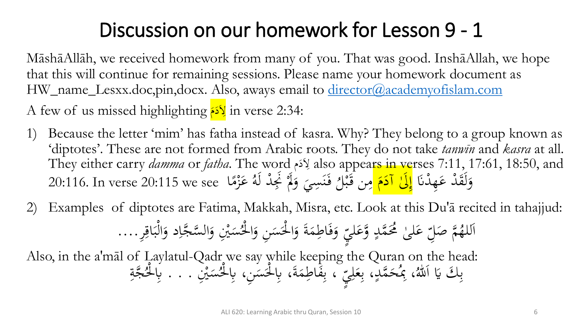#### Discussion on our homework for Lesson 9 - 1

MāshāAllāh, we received homework from many of you. That was good. InshāAllah, we hope that this will continue for remaining sessions. Please name your homework document as HW\_name\_Lesxx.doc,pin,docx. Also, aways email to [director@academyofislam.com](mailto:director@academyofislam.com)

A few of us missed highlighting كَمَ in verse 2:34: َ <mark>َ</mark>

- 1) Because the letter 'mim' has fatha instead of kasra. Why? They belong to a group known as 'diptotes'. These are not formed from Arabic roots. They do not take *tanwīn* and *kasra* at all. They either carry *damma* or *fatha*. The word م َد ِال also appears in verses 7:11, 17:61, 18:50, and <u>،</u> وَلَقَٰذْ عَهِدْنَا <mark>إِلَىٰ آدَمَ </mark>مِن قَبْلُ فَنَسِيَ وَلَمْ نَجِدْ لَهُ عَزْمًا 20:115 we see دَا:20 ـ 20:116. In verse ن<br>نا ل<br>ا **ک** َ َ ار<br>ا  $\sqrt{\frac{2}{2}}$ إ م َ  $\frac{1}{2}$ ر<br>ند َ مِن قَبْلُ فَنَسِيَ وَلَا نَجِدْ لَهُ عَزْمًا ه<br>به ة<br>ق  $\mathbf{A}$  $\frac{1}{2}$ ز<br>ر **ک** نَ<br>بِجَلْ لَهُ ل<br>ا
- 2) Examples of diptotes are Fatima, Makkah, Misra, etc. Look at this Du'ā recited in tahajjud:

َ يُنِ وَا مَبر<br>م س ئ<br>ُ وَفَاطِمَةَ وَالْحَسَنِ وَالْخُ لا<br>ح ا َ  $\overline{a}$ لا<br>ح ا َ  $\blacklozenge$ َ َ س<br>پ بانا ا لِّ عَلَىٰ مُحَمَّدٍ وَّعَليِّ **ک**  $\overline{a}$ ا<br>— **ک**  َل ص َّ م **€** اللهُمَّ صَلِّ عَلَىٰ مُحَمَّدٍ وَّعَلَيِّ وَفَاطِمَةَ وَالْحَسَنِ وَالْحُسَيْنِ وَالسَّجَّاِد وَالْبَاقِرِ....  $\frac{1}{2}$ <u>ہ</u><br>ف  $\ddot{\cdot}$ بر ل<br>ا َ  $\overline{\mathfrak{l}}$ 

Also, in the a'māl of Laylatul-Qadr we say while keeping the Quran on the head:  $\frac{1}{2}$ ، بِمُحَمَّدٍ َ  $\ddot{\phantom{a}}$ بِكَ يَا اَللّٰهُ، بِمُحَمَّدٍ، ا  $\ddot{.}$ .<br>أ ِبِنَ الْحِمَةَ، بِالْحَسَنِ، بِالْخُسَنِ لا<br>ح  $\overline{a}$ ل<br>ح  $\blacktriangle$ .<br>ه ِ<br>ب س<br>پ بانا ا مَلِيّ ، بِقَاطِمَةَ، بِالْحَسَنِ، بِالْحُسَنِيِّ ِ **گ**ر ِ<br>ب د<br>نر مَبر<br>م سَيْنِ . . . بِالْحَجَّةِ  $\ddot{a}$ ِ<br>بِالْحُ لا<br>ح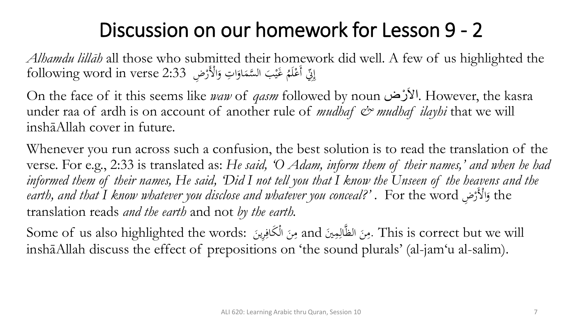#### Discussion on our homework for Lesson 9 - 2

*Alhamdu lillāh* all those who submitted their homework did well. A few of us highlighted the تِّي أَعْلَمُ غَيْبَ السَّمَاوَاتِ وَالْأَرْضِ 2:33 following word in verse م َ ا َ  $\ddot{\phantom{0}}$ َ م  $\int$ إ

On the face of it this seems like *waw* of *qasm* followed by noun رضْ َاال. However, the kasra under raa of ardh is on account of another rule of *mudhaf*  $\mathcal{Q}^*$  mudhaf *ilayhi* that we will inshāAllah cover in future.

Whenever you run across such a confusion, the best solution is to read the translation of the verse. For e.g., 2:33 is translated as: *He said, 'O Adam, inform them of their names,' and when he had informed them of their names, He said, 'Did I not tell you that I know the Unseen of the heavens and the earth, and that I know whatever you disclose and whatever you conceal?'* . For the word ضِ امْلَر the و م َ translation reads *and the earth* and not *by the earth.*

Some of us also highlighted the words: ِرين الم َكاف ن َي and م مِ ال َّ الظ ن م. This is correct but we will  $\vdots$ ِ  $\ddot{\phantom{0}}$  $\mathbf{A}$ ِ<br>ل  $\ddot{\phantom{0}}$  $\mathbf{A}$ inshāAllah discuss the effect of prepositions on 'the sound plurals' (al-jam' u al-salim).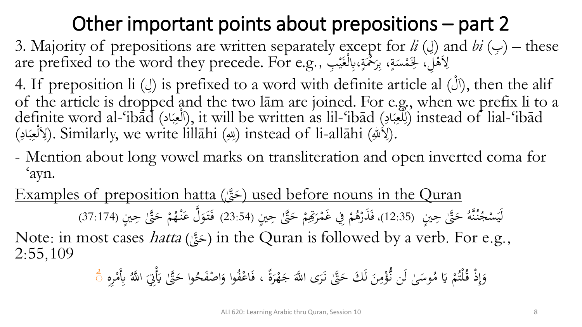### Other important points about prepositions – part 2

3. Majority of prepositions are written separately except for *li* (إ) and *bi* (ب) – these are prefixed to the word they precede. For e.g., بِرَحْمَةٍ،بِالْغَيْبِ  $\ddot{.}$ ي .<br>فر م **تة** م  $\frac{1}{2}$ ِ<br>بِ **تة**  $\overline{a}$ م

4. If preposition li (ل) is prefixed to a word with definite article al (لَ), then the alif of the article is dropped and the two lām are joined. For e.g., when we prefix li to a definite word al-'ibād (اَلْعِبَادِ), it will be written as lil-'ibād (اللَّعِبَادِ) instead of lial-'ibād  $\ddot{\cdot}$ بر ِ<br>و م ل ا (<br>1 ِ<br>با  $\ddot{\cdot}$ بر ِّ<br>ِو م ر<br>ل (لِأَللّٰهِ). Similarly, we write lillāhi (لِلهِ) instead of li-allāhi (لِأَلْعِبَادِ). .<br>ب  $\ddot{\cdot}$ بر ِ<br>و م

- Mention about long vowel marks on transliteration and open inverted coma for 'ayn.
- Examples of preposition hatta ( ّتَٰ َّ ح (used before nouns in the Quran  $\overline{\phantom{a}}$

حَ<sub>َّ</sub>قٌّلُ حِينٍ  $\ddot{\cdot}$ َ ام<br>ا ه َّ نُ ن م<br>أ ج َس ي لَي )12:35(، ّتَٰ حِ َّ ح م م  $\ddot{\cdot}$ َ م ِ<br>تِھ ُمْ فِي غَمْرَتِ*وْ* ر<br>. م م **ه** فَذَرْهُمْ فِي غَمْرَتِهِمْ حَتَّىٰ حِينٍ (23:54) فَتَوَلَّ عَنْهُمْ حَتَّىٰ حِينٍ ر<br>ا  $\ddot{\cdot}$ َ م **€** فَتَوَلُّ عَنْهُمْ حَتَّىٰ حِينٍ (37:174) .<br>م **ک** َ <u>ف</u>

Note: in most cases *hatta* (حَقَّ) in the Quran is followed by a verb. For e.g.,<br>2.55,100 َ 2:55,109

 ة َ ر م ه َ َ ج َى ا َّّلل َر ن ّتَٰ َّ َ َك ح لَ َ ن ِ م م ُ لَن ن ُّ َٰ َى وس ُ م َ َي م م ُ لت ُم ذ ق م ِ إ َ و ، ُ ف م اع َ ف ِرهِ م ِِبَم ُ ا َّّلل َ مِِت َ ّتَٰ َي َّ َ وا ح ُ َح صف م ا َ وا و ۗ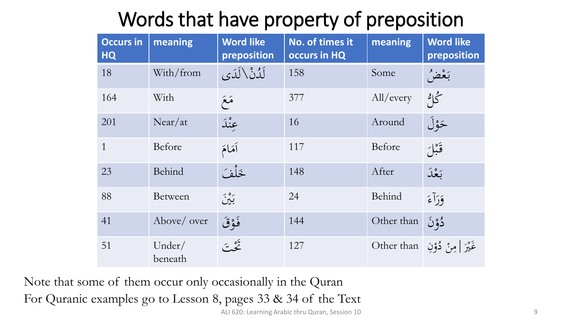# Words that have property of preposition

| <b>Occurs in</b><br><b>HQ</b> | meaning           | <b>Word like</b><br>preposition | No. of times it<br>occurs in HQ | meaning    | <b>Word like</b><br>preposition |
|-------------------------------|-------------------|---------------------------------|---------------------------------|------------|---------------------------------|
| 18                            | With/from         | لَدُنْ \لَدَى                   | 158                             | Some       | بَعْضُ                          |
| 164                           | With              | مَعَ                            | 377                             | All/every  | گاڻ                             |
| 201                           | Near/at           | عنْدَ                           | 16                              | Around     | ځوْلَ                           |
| $\mathbf{1}$                  | Before            | أهَامَ                          | 117                             | Before     | قَبْلَ                          |
| 23                            | Behind            | خَلْفَ                          | 148                             | After      | بَعْدَ                          |
| 88                            | <b>Between</b>    | بين                             | 24                              | Behind     | وَرَآءَ                         |
| 41                            | Above/ over       | فَوْقَ                          | 144                             | Other than | دُوْنَ                          |
| 51                            | Under/<br>beneath | تَيْقَ                          | 127                             | Other than | غَيْرَ   مِنْ دُوْنِ            |

Note that some of them occur only occasionally in the Quran For Quranic examples go to Lesson 8, pages 33 & 34 of the Text ALI 620: Learning Arabic thru Quran, Session 10 9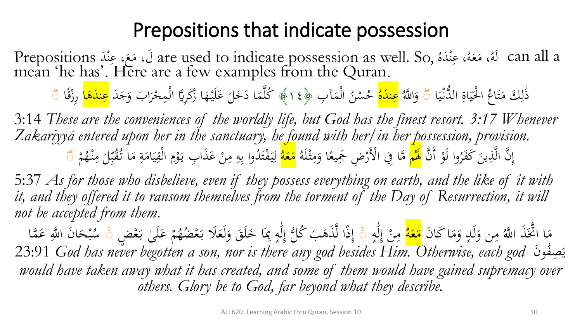#### Prepositions that indicate possession

d are used to indicate possession as well. So, a تَارَوْ عَبْدَ Prepositions<br>mean the has Lere are a few examples from the Quran .<br>م ه<br>نم  $\sum_{i=1}^{n}$ ىم<br>-<br>⊾ ه د ، عِ ل<br>ا .<br>م ه<br>ذ ہ<br>ا ه ع ، م **گ**ر  $\mathcal{A}$ ُ هَل can all a mean 'he has'. Here are a few examples from the Quran.

ذَٰلِكَ مَتَاعُ الْحَيَاةِ الدَّنْيَا  $\ddot{\cdot}$ بد .<br>ن  $\ddot{\circ}$  $\ddot{\cdot}$ ي ب<br>أ ل<br>ا ا  $\ddot{\lambda}$ ت  $\mathcal{A}$ ا ل ا<br>•<br>• ۗ ُ ا َّّلل و َ **ہ** <mark>عِندَه</mark>ُ حُسْنُ الْمَآبِ ل<br>ا  $\blacktriangle$ م .<br>-<br>-حُسْنُ الْمَآبِ ﴿١٤﴾ كُلَّمَا دَخَلَ عَلَيْهَا زَكَرِيًّا الْمِحْرَابَ وَجَدَ <mark>عِندَهَا</mark> رِزْقًا م  $\int$ ر<br>ا م م َ  $\ddot{\mathbf{r}}$ **ک**  $\overline{\phantom{0}}$  $\blacktriangle$ <u>م</u> ِ <u>ق</u> ز  $\frac{2}{\sqrt{2}}$ صد<br>ا

3:14 *These are the conveniences of the worldly life, but God has the finest resort. 3:17 Whenever Zakariyyā entered upon her in the sanctuary, he found with her/in her possession, provision.* وا لَوْ أَنَّ م إِنَّ الَّذِينَ كَفَرُوا لَوْ أَنَّ <mark>لَهُم</mark>  $\ddot{\phantom{0}}$ ِ<br>ب <mark>َهُم</mark>ْ مَّا فِي الْأَرْضِ جَمِيعًا وَمِثْلَهُ <mark>مَعَه</mark>ُ شة<br>م  $\mathbf{A}$ َ ر<br>پ م <mark>مَعَه</mark>ُ لِيَفْتَدُوا بِهِ مِنْ عَذَابِ يَوْمِ الْقِيَامَةِ مَا ثَقْبٌلَ <mark>ً</mark><br>ا ام<br>ا ِ<br>ل ل  $\overline{\phantom{0}}$ يَفْتَدُوا بِهِ مِنْ عَذَابِ يَوْمِ الْقِيَامَةِ مَا تُقْبِّلَ مِنْهُمْ بد<br>بر  $\mathcal{L}$ <u>بة</u>  $\mathcal{L}$  $\ddot{\cdot}$ بد ِ<br>ِمُ م  $\ddot{\phantom{0}}$ م يہ<br>. **ک** م  $\mathbf{A}$ ِ ِ<br>ب ت .<br>م  $\ddot{\cdot}$ م **€** مِنْـهُـ .<br>م  $\mathbf{A}$  صد<br>ا

5:37 *As for those who disbelieve, even if they possess everything on earth, and the like of it with it, and they offered it to ransom themselves from the torment of the Day of Resurrection, it will not be accepted from them.*

مِن وَلَدٍ وَمَا كَانَ<br>م م<br>. ه<br>ر  $\overline{a}$ َ  $\mathbf{A}$ مَا اتَّخَذَ اللَّهُ<br>بُريد م هر<br>ڊ ہے<br>۔ <mark>مَعَه</mark>ُ مِنْ إِلَٰهٍ ۚ إِذًا لَّذَهَبَ كُلُّ إِلَٰهٍ بِمَا خَلَقَ وَلَعَلَا بَعْضُهُمْ عَلَىٰ بَعْ<br>مُسْتَقِيمًا مِنْ الْمَسْتَقِيمَةِ مِنْ اللَّهِ مِنْ اللَّهِ بِمَا خَلَقَ وَلَعَلَا بَعْضُهُمْ عَلَىٰ بَعْ ا<br>ا  $\frac{\lambda}{\Lambda}$  $\overline{a}$ َٰ لَ .<br>ِم إ .<br>7  $\mathbf{A}$  .<br>ا  $\ddot{\phantom{0}}$  $\int$ إ م ب<br>. ا<br>ا **ک** م<br>.<br>. ہے<br>. إِلَٰهٍ بِمَا خَلَقَ وَلَعَلَا بَعْضُهُمْ عَلَىٰ بَعْضٍ ۚ سُبْحَانَ اللَّهِ عَمَّا<br>مِسْلِما مِنْسِمِينِ مِنْ مِنْ مِنْ الْمَسْلِمِينَ مِنْ الْمَلْمِينَ مِنْ اللَّهِ عَمَّا ب<br>۔ **گ**ر و<br>پر ِ<br>ب .<br>.<br>. ل<br>.  $\ddot{\cdot}$ <u>ل</u>م َٰ لَ  $\overline{a}$ إ ا<br>ج  $\ddot{\cdot}$ ه<br>به بد<br>ِ و<br>سد وَن ُ ِصف 23:91 *God has never begotten a son, nor is there any god besides Him. Otherwise, each god* ي يا<br>*would have taken away what it has created, and some of them would have gained supremacy over others. Glory be to God, far beyond what they describe.*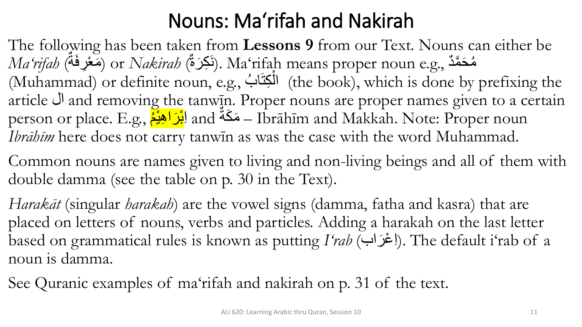### Nouns: Ma'rifah and Nakirah

The following has been taken from **Lessons 9** from our Text. Nouns can either be  $\emph{Ma'rifab}$  (أَكِرَةُ) or  $\emph{Nakirab}$  (نَكِرَةُ). Ma'rifah means proper noun e.g., مُحَمَّدٌ **ٔ** نَ<br>تم و<br>م (Muhammad) or definite noun, e.g., الْمَكِتَابُ (the book), which is done by prefixing the ْ article ال and removing the tanwīn. Proper nouns are proper names given to a certain person or place. E.g., ا<mark>بْرَ اهِبْمْ</mark> $\,$  and  $\rm \ddot{\tilde{a}}$  – Ibrāhīm and Makkah. Note: Proper noun ر<br>م ْ *Ibrāhīm* here does not carry tanwīn as was the case with the word Muhammad.

Common nouns are names given to living and non-living beings and all of them with double damma (see the table on p. 30 in the Text).

*Harakāt* (singular *harakah*) are the vowel signs (damma, fatha and kasra) that are placed on letters of nouns, verbs and particles. Adding a harakah on the last letter based on grammatical rules is known as putting *I'rab (با*غْدَاب*)*. The default i'rab of a noun is damma.

See Quranic examples of ma'rifah and nakirah on p. 31 of the text.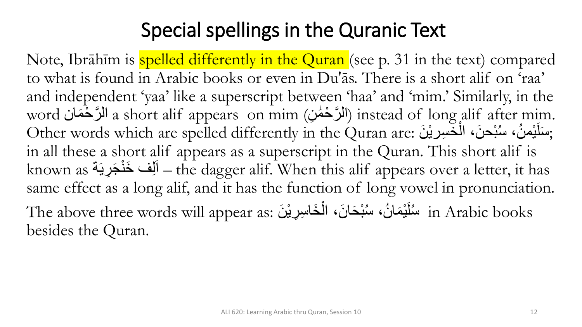#### Special spellings in the Quranic Text

Note, Ibrāhīm is spelled differently in the Quran (see p. 31 in the text) compared to what is found in Arabic books or even in Du'ās. There is a short alif on 'raa' and independent 'yaa' like a superscript between 'haa' and 'mim.' Similarly, in the word الرَّحْمَان a short alif appears on mim (الرَّحْمَٰن) instead of long alif after mim. **ٔ** َٰ **ٔ** Other words which are spelled differently in the Quran are: سَلَيْمنُ، سُبْحنَ، الْخَسِرِيْنَ Other words which are spelled differently in the Quran are: ْ **ٔ** ر<br>ا ر<br>پ **ٔ ّ** in all these a short alif appears as a superscript in the Quran. This short alif is known as أَلِف خَنْجَرِيَة (the dagger alif. When this alif appears over a letter, it has **ٔ** same effect as a long alif, and it has the function of long vowel in pronunciation. The above three words will appear as: سُنْبْحَانَ، الْخَاسِرِيْنَ (The above three words will appear as **ّ ا** ْ و<br>ام **ّ** besides the Quran.